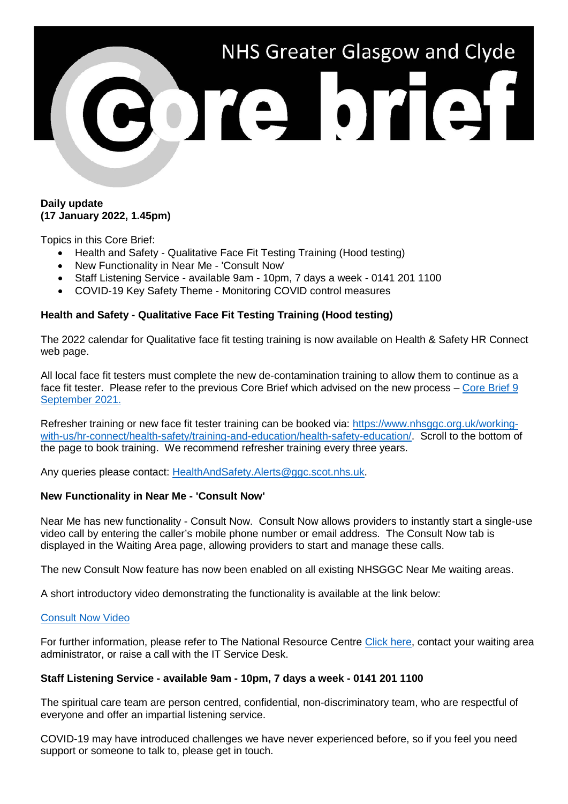

### **Daily update (17 January 2022, 1.45pm)**

Topics in this Core Brief:

- Health and Safety Qualitative Face Fit Testing Training (Hood testing)
- New Functionality in Near Me 'Consult Now'
- Staff Listening Service available 9am 10pm, 7 days a week 0141 201 1100
- COVID-19 Key Safety Theme Monitoring COVID control measures

# **Health and Safety - Qualitative Face Fit Testing Training (Hood testing)**

The 2022 calendar for Qualitative face fit testing training is now available on Health & Safety HR Connect web page.

All local face fit testers must complete the new de-contamination training to allow them to continue as a face fit tester. Please refer to the previous Core Brief which advised on the new process – [Core Brief 9](https://www.nhsggc.org.uk/media/269275/195-core-brief-9-september-2021-daily-update-1150am.pdf)  [September 2021.](https://www.nhsggc.org.uk/media/269275/195-core-brief-9-september-2021-daily-update-1150am.pdf)

Refresher training or new face fit tester training can be booked via: [https://www.nhsggc.org.uk/working](https://www.nhsggc.org.uk/working-with-us/hr-connect/health-safety/training-and-education/health-safety-education/)[with-us/hr-connect/health-safety/training-and-education/health-safety-education/.](https://www.nhsggc.org.uk/working-with-us/hr-connect/health-safety/training-and-education/health-safety-education/) Scroll to the bottom of the page to book training. We recommend refresher training every three years.

Any queries please contact: [HealthAndSafety.Alerts@ggc.scot.nhs.uk.](mailto:HealthAndSafety.Alerts@ggc.scot.nhs.uk)

## **New Functionality in Near Me - 'Consult Now'**

Near Me has new functionality - Consult Now. Consult Now allows providers to instantly start a single-use video call by entering the caller's mobile phone number or email address. The Consult Now tab is displayed in the Waiting Area page, allowing providers to start and manage these calls.

The new Consult Now feature has now been enabled on all existing NHSGGC Near Me waiting areas.

A short introductory video demonstrating the functionality is available at the link below:

## [Consult Now Video](https://web.microsoftstream.com/video/98584945-3239-417a-9a15-6c169fe3ae2e)

For further information, please refer to The National Resource Centre [Click here,](https://nhs.attendanywhere.com/?path_info=https%3a%2f%2fnhs.attendanywhere.com%2frc%2fContent%2fHome.htm) contact your waiting area administrator, or raise a call with the IT Service Desk.

## **Staff Listening Service - available 9am - 10pm, 7 days a week - 0141 201 1100**

The spiritual care team are person centred, confidential, non-discriminatory team, who are respectful of everyone and offer an impartial listening service.

COVID-19 may have introduced challenges we have never experienced before, so if you feel you need support or someone to talk to, please get in touch.